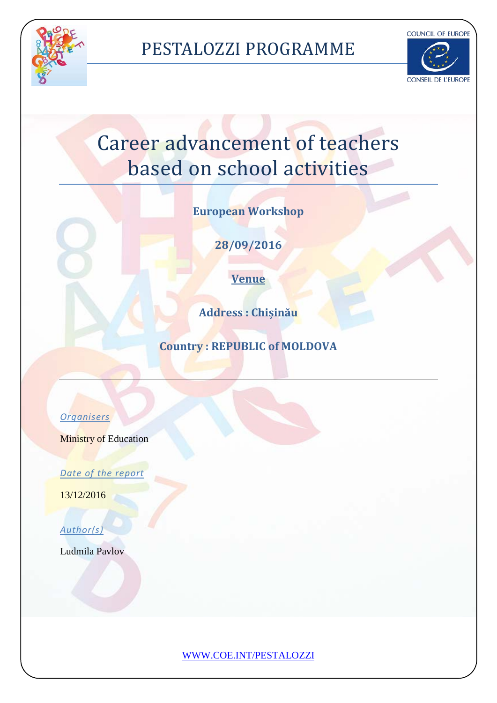

### PESTALOZZI PROGRAMME



# Career advancement of teachers based on school activities

**European Workshop**

**28/09/2016**

**Venue**

**Address : Chișinău**

**Country : REPUBLIC of MOLDOVA**

### *Organisers*

**Ministry of Education** 

*Date of the report* 

13/12/2016

*Author(s)* 

Ludmila Pavlov

[WWW.COE.INT/PESTALOZZI](http://www.coe.int/PESTALOZZI)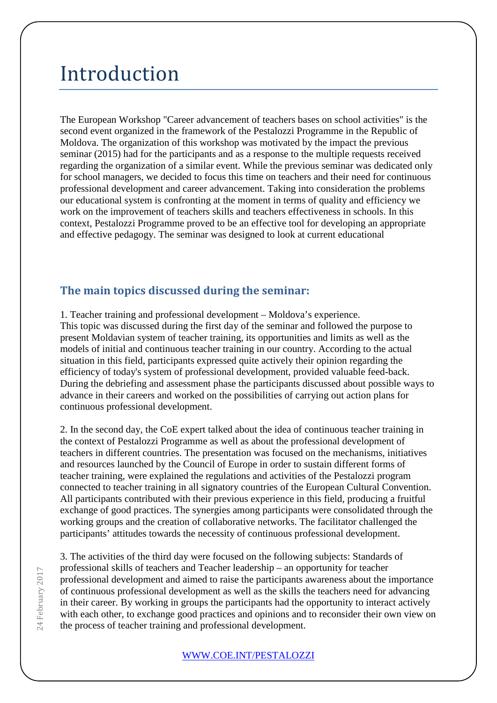### Introduction

The European Workshop "Career advancement of teachers bases on school activities" is the second event organized in the framework of the Pestalozzi Programme in the Republic of Moldova. The organization of this workshop was motivated by the impact the previous seminar (2015) had for the participants and as a response to the multiple requests received regarding the organization of a similar event. While the previous seminar was dedicated only for school managers, we decided to focus this time on teachers and their need for continuous professional development and career advancement. Taking into consideration the problems our educational system is confronting at the moment in terms of quality and efficiency we work on the improvement of teachers skills and teachers effectiveness in schools. In this context, Pestalozzi Programme proved to be an effective tool for developing an appropriate and effective pedagogy. The seminar was designed to look at current educational

#### **The main topics discussed during the seminar:**

1. Teacher training and professional development – Moldova's experience. This topic was discussed during the first day of the seminar and followed the purpose to present Moldavian system of teacher training, its opportunities and limits as well as the models of initial and continuous teacher training in our country. According to the actual situation in this field, participants expressed quite actively their opinion regarding the efficiency of today's system of professional development, provided valuable feed-back. During the debriefing and assessment phase the participants discussed about possible ways to advance in their careers and worked on the possibilities of carrying out action plans for continuous professional development.

2. In the second day, the CoE expert talked about the idea of continuous teacher training in the context of Pestalozzi Programme as well as about the professional development of teachers in different countries. The presentation was focused on the mechanisms, initiatives and resources launched by the Council of Europe in order to sustain different forms of teacher training, were explained the regulations and activities of the Pestalozzi program connected to teacher training in all signatory countries of the European Cultural Convention. All participants contributed with their previous experience in this field, producing a fruitful exchange of good practices. The synergies among participants were consolidated through the working groups and the creation of collaborative networks. The facilitator challenged the participants' attitudes towards the necessity of continuous professional development.

3. The activities of the third day were focused on the following subjects: Standards of professional skills of teachers and Teacher leadership – an opportunity for teacher professional development and aimed to raise the participants awareness about the importance of continuous professional development as well as the skills the teachers need for advancing in their career. By working in groups the participants had the opportunity to interact actively with each other, to exchange good practices and opinions and to reconsider their own view on the process of teacher training and professional development.

#### [WWW.COE.INT/PESTALOZZI](http://www.coe.int/PESTALOZZI)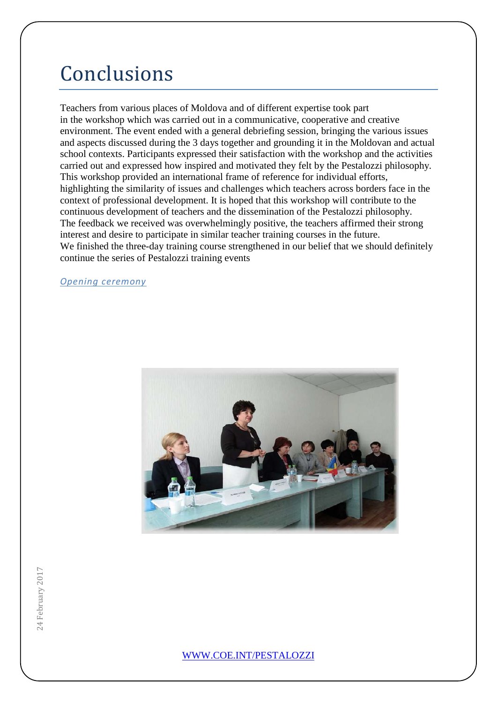## Conclusions

Teachers from various places of Moldova and of different expertise took part in the workshop which was carried out in a communicative, cooperative and creative environment. The event ended with a general debriefing session, bringing the various issues and aspects discussed during the 3 days together and grounding it in the Moldovan and actual school contexts. Participants expressed their satisfaction with the workshop and the activities carried out and expressed how inspired and motivated they felt by the Pestalozzi philosophy. This workshop provided an international frame of reference for individual efforts, highlighting the similarity of issues and challenges which teachers across borders face in the context of professional development. It is hoped that this workshop will contribute to the continuous development of teachers and the dissemination of the Pestalozzi philosophy. The feedback we received was overwhelmingly positive, the teachers affirmed their strong interest and desire to participate in similar teacher training courses in the future. We finished the three-day training course strengthened in our belief that we should definitely continue the series of Pestalozzi training events

*Opening ceremony*



24 February 2017 24 February 2017

[WWW.COE.INT/PESTALOZZI](http://www.coe.int/PESTALOZZI)